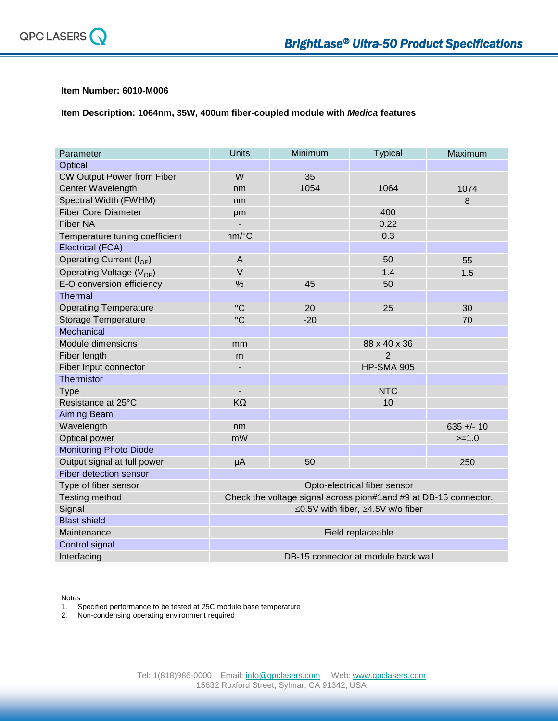

## **Item Number: 6010-M006**

**Item Description: 1064nm, 35W, 400um fiber-coupled module with** *Medica* **features**

| Parameter                            | <b>Units</b>                                                      | Minimum | <b>Typical</b>                      | Maximum      |
|--------------------------------------|-------------------------------------------------------------------|---------|-------------------------------------|--------------|
| Optical                              |                                                                   |         |                                     |              |
| CW Output Power from Fiber           | W                                                                 | 35      |                                     |              |
| Center Wavelength                    | nm                                                                | 1054    | 1064                                | 1074         |
| Spectral Width (FWHM)                | nm                                                                |         |                                     | 8            |
| <b>Fiber Core Diameter</b>           | µm                                                                |         | 400                                 |              |
| <b>Fiber NA</b>                      | ÷,                                                                |         | 0.22                                |              |
| Temperature tuning coefficient       | nm/°C                                                             |         | 0.3                                 |              |
| <b>Electrical (FCA)</b>              |                                                                   |         |                                     |              |
| Operating Current (I <sub>OP</sub> ) | $\overline{A}$                                                    |         | 50                                  | 55           |
| Operating Voltage $(V_{OP})$         | $\vee$                                                            |         | 1.4                                 | 1.5          |
| E-O conversion efficiency            | %                                                                 | 45      | 50                                  |              |
| Thermal                              |                                                                   |         |                                     |              |
| <b>Operating Temperature</b>         | $\rm ^{\circ}C$                                                   | 20      | 25                                  | 30           |
| <b>Storage Temperature</b>           | $\rm ^{\circ}C$                                                   | $-20$   |                                     | 70           |
| Mechanical                           |                                                                   |         |                                     |              |
| Module dimensions                    | mm                                                                |         | 88 x 40 x 36                        |              |
| Fiber length                         | m                                                                 |         | $\overline{2}$                      |              |
| Fiber Input connector                | $\overline{\phantom{a}}$                                          |         | <b>HP-SMA 905</b>                   |              |
| Thermistor                           |                                                                   |         |                                     |              |
| <b>Type</b>                          | $\overline{\phantom{a}}$                                          |         | <b>NTC</b>                          |              |
| Resistance at 25°C                   | $K\Omega$                                                         |         | 10                                  |              |
| <b>Aiming Beam</b>                   |                                                                   |         |                                     |              |
| Wavelength                           | nm                                                                |         |                                     | $635 +/- 10$ |
| Optical power                        | mW                                                                |         |                                     | $>=1.0$      |
| <b>Monitoring Photo Diode</b>        |                                                                   |         |                                     |              |
| Output signal at full power          | μA                                                                | 50      |                                     | 250          |
| Fiber detection sensor               |                                                                   |         |                                     |              |
| Type of fiber sensor                 | Opto-electrical fiber sensor                                      |         |                                     |              |
| <b>Testing method</b>                | Check the voltage signal across pion#1 and #9 at DB-15 connector. |         |                                     |              |
| Signal                               | ≤0.5V with fiber, ≥4.5V w/o fiber                                 |         |                                     |              |
| <b>Blast shield</b>                  |                                                                   |         |                                     |              |
| Maintenance                          |                                                                   |         | Field replaceable                   |              |
| Control signal                       |                                                                   |         |                                     |              |
| Interfacing                          |                                                                   |         | DB-15 connector at module back wall |              |

Notes

1. Specified performance to be tested at 25C module base temperature

2. Non-condensing operating environment required